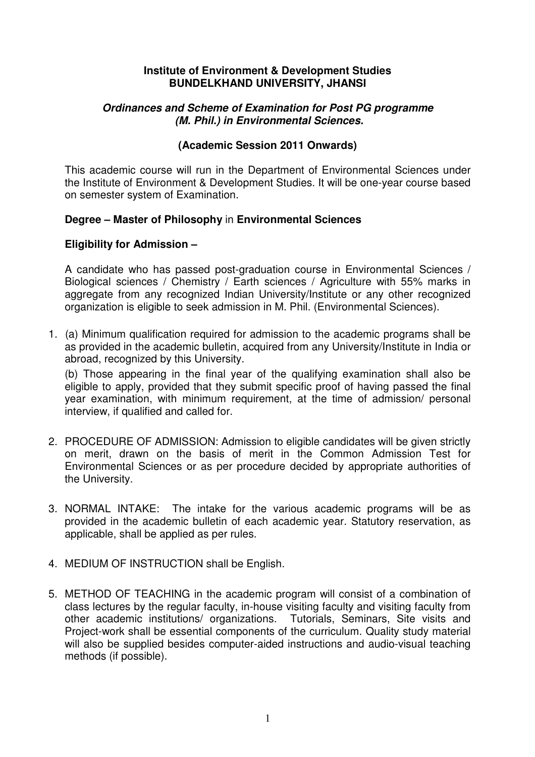### **Institute of Environment & Development Studies BUNDELKHAND UNIVERSITY, JHANSI**

## **Ordinances and Scheme of Examination for Post PG programme (M. Phil.) in Environmental Sciences.**

## **(Academic Session 2011 Onwards)**

This academic course will run in the Department of Environmental Sciences under the Institute of Environment & Development Studies. It will be one-year course based on semester system of Examination.

## **Degree – Master of Philosophy** in **Environmental Sciences**

## **Eligibility for Admission –**

A candidate who has passed post-graduation course in Environmental Sciences / Biological sciences / Chemistry / Earth sciences / Agriculture with 55% marks in aggregate from any recognized Indian University/Institute or any other recognized organization is eligible to seek admission in M. Phil. (Environmental Sciences).

1. (a) Minimum qualification required for admission to the academic programs shall be as provided in the academic bulletin, acquired from any University/Institute in India or abroad, recognized by this University.

(b) Those appearing in the final year of the qualifying examination shall also be eligible to apply, provided that they submit specific proof of having passed the final year examination, with minimum requirement, at the time of admission/ personal interview, if qualified and called for.

- 2. PROCEDURE OF ADMISSION: Admission to eligible candidates will be given strictly on merit, drawn on the basis of merit in the Common Admission Test for Environmental Sciences or as per procedure decided by appropriate authorities of the University.
- 3. NORMAL INTAKE: The intake for the various academic programs will be as provided in the academic bulletin of each academic year. Statutory reservation, as applicable, shall be applied as per rules.
- 4. MEDIUM OF INSTRUCTION shall be English.
- 5. METHOD OF TEACHING in the academic program will consist of a combination of class lectures by the regular faculty, in-house visiting faculty and visiting faculty from other academic institutions/ organizations. Tutorials, Seminars, Site visits and Project-work shall be essential components of the curriculum. Quality study material will also be supplied besides computer-aided instructions and audio-visual teaching methods (if possible).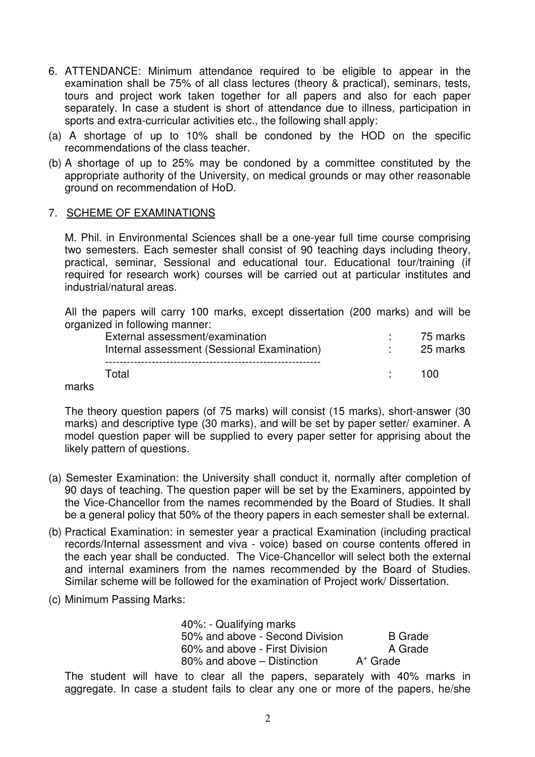- 6. ATTENDANCE: Minimum attendance required to be eligible to appear in the examination shall be 75% of all class lectures (theory & practical), seminars, tests, tours and project work taken together for all papers and also for each paper separately. In case a student is short of attendance due to illness, participation in sports and extra-curricular activities etc., the following shall apply:
- (a) A shortage of up to 10% shall be condoned by the HOD on the specific recommendations of the class teacher.
- (b) A shortage of up to 25% may be condoned by a committee constituted by the appropriate authority of the University, on medical grounds or may other reasonable ground on recommendation of HoD.

## 7. SCHEME OF EXAMINATIONS

M. Phil. in Environmental Sciences shall be a one-year full time course comprising two semesters. Each semester shall consist of 90 teaching days including theory, practical, seminar, Sessional and educational tour. Educational tour/training (if required for research work) courses will be carried out at particular institutes and industrial/natural areas.

All the papers will carry 100 marks, except dissertation (200 marks) and will be organized in following manner:

| External assessment/examination<br>Internal assessment (Sessional Examination) | 75 marks<br>25 marks |
|--------------------------------------------------------------------------------|----------------------|
| Total                                                                          | 100                  |

marks

The theory question papers (of 75 marks) will consist (15 marks), short-answer (30 marks) and descriptive type (30 marks), and will be set by paper setter/ examiner. A model question paper will be supplied to every paper setter for apprising about the likely pattern of questions.

- (a) Semester Examination: the University shall conduct it, normally after completion of 90 days of teaching. The question paper will be set by the Examiners, appointed by the Vice-Chancellor from the names recommended by the Board of Studies. It shall be a general policy that 50% of the theory papers in each semester shall be external.
- (b) Practical Examination: in semester year a practical Examination (including practical records/Internal assessment and viva - voice) based on course contents offered in the each year shall be conducted. The Vice-Chancellor will select both the external and internal examiners from the names recommended by the Board of Studies. Similar scheme will be followed for the examination of Project work/ Dissertation.
- (c) Minimum Passing Marks:

| 40%: - Qualifying marks         |                |
|---------------------------------|----------------|
| 50% and above - Second Division | <b>B</b> Grade |
| 60% and above - First Division  | A Grade        |
| 80% and above – Distinction     | $A^+$ Grade    |
|                                 |                |

The student will have to clear all the papers, separately with 40% marks in aggregate. In case a student fails to clear any one or more of the papers, he/she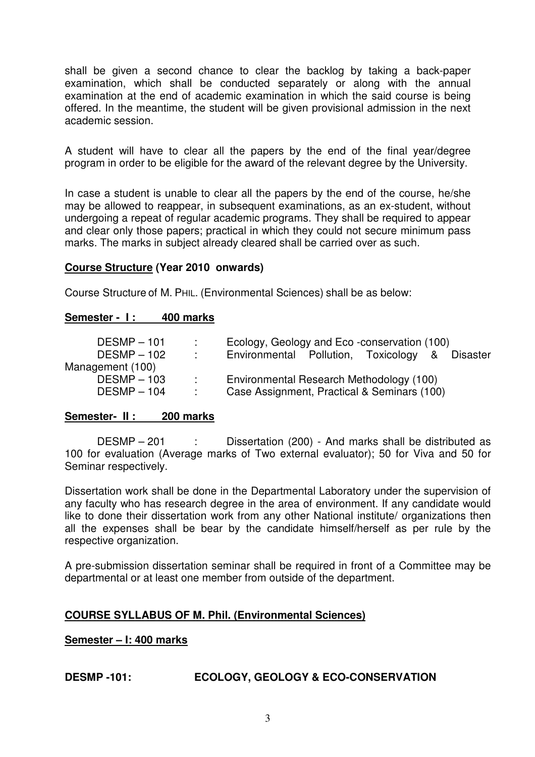shall be given a second chance to clear the backlog by taking a back-paper examination, which shall be conducted separately or along with the annual examination at the end of academic examination in which the said course is being offered. In the meantime, the student will be given provisional admission in the next academic session.

A student will have to clear all the papers by the end of the final year/degree program in order to be eligible for the award of the relevant degree by the University.

In case a student is unable to clear all the papers by the end of the course, he/she may be allowed to reappear, in subsequent examinations, as an ex-student, without undergoing a repeat of regular academic programs. They shall be required to appear and clear only those papers; practical in which they could not secure minimum pass marks. The marks in subject already cleared shall be carried over as such.

### **Course Structure (Year 2010 onwards)**

Course Structure of M. PHIL. (Environmental Sciences) shall be as below:

### Semester - 1: 400 marks

| $DESMP - 101$    | $\sim 100$        | Ecology, Geology and Eco-conservation (100)    |
|------------------|-------------------|------------------------------------------------|
| $DESMP - 102$    | <b>Contract</b>   | Environmental Pollution, Toxicology & Disaster |
| Management (100) |                   |                                                |
| $DESMP - 103$    | <b>Contractor</b> | Environmental Research Methodology (100)       |
| $DESMP - 104$    | $\sim 100$        | Case Assignment, Practical & Seminars (100)    |

### **Semester- II : 200 marks**

DESMP – 201 : Dissertation (200) - And marks shall be distributed as 100 for evaluation (Average marks of Two external evaluator); 50 for Viva and 50 for Seminar respectively.

Dissertation work shall be done in the Departmental Laboratory under the supervision of any faculty who has research degree in the area of environment. If any candidate would like to done their dissertation work from any other National institute/ organizations then all the expenses shall be bear by the candidate himself/herself as per rule by the respective organization.

A pre-submission dissertation seminar shall be required in front of a Committee may be departmental or at least one member from outside of the department.

### **COURSE SYLLABUS OF M. Phil. (Environmental Sciences)**

**Semester – I: 400 marks**

# **DESMP -101: ECOLOGY, GEOLOGY & ECO-CONSERVATION**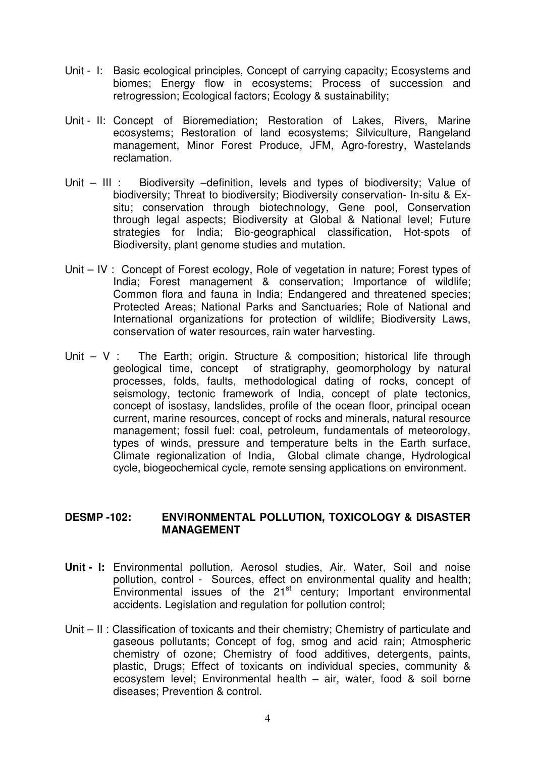- Unit I: Basic ecological principles, Concept of carrying capacity; Ecosystems and biomes; Energy flow in ecosystems; Process of succession and retrogression; Ecological factors; Ecology & sustainability;
- Unit II: Concept of Bioremediation; Restoration of Lakes, Rivers, Marine ecosystems; Restoration of land ecosystems; Silviculture, Rangeland management, Minor Forest Produce, JFM, Agro-forestry, Wastelands reclamation.
- Unit III : Biodiversity –definition, levels and types of biodiversity; Value of biodiversity; Threat to biodiversity; Biodiversity conservation- In-situ & Exsitu; conservation through biotechnology, Gene pool, Conservation through legal aspects; Biodiversity at Global & National level; Future strategies for India; Bio-geographical classification, Hot-spots of Biodiversity, plant genome studies and mutation.
- Unit IV : Concept of Forest ecology, Role of vegetation in nature; Forest types of India; Forest management & conservation; Importance of wildlife; Common flora and fauna in India; Endangered and threatened species; Protected Areas; National Parks and Sanctuaries; Role of National and International organizations for protection of wildlife; Biodiversity Laws, conservation of water resources, rain water harvesting.
- Unit V : The Earth; origin. Structure & composition; historical life through geological time, concept of stratigraphy, geomorphology by natural processes, folds, faults, methodological dating of rocks, concept of seismology, tectonic framework of India, concept of plate tectonics, concept of isostasy, landslides, profile of the ocean floor, principal ocean current, marine resources, concept of rocks and minerals, natural resource management; fossil fuel: coal, petroleum, fundamentals of meteorology, types of winds, pressure and temperature belts in the Earth surface, Climate regionalization of India, Global climate change, Hydrological cycle, biogeochemical cycle, remote sensing applications on environment.

### **DESMP -102: ENVIRONMENTAL POLLUTION, TOXICOLOGY & DISASTER MANAGEMENT**

- **Unit I:** Environmental pollution, Aerosol studies, Air, Water, Soil and noise pollution, control - Sources, effect on environmental quality and health; Environmental issues of the 21st century; Important environmental accidents. Legislation and regulation for pollution control;
- Unit II : Classification of toxicants and their chemistry; Chemistry of particulate and gaseous pollutants; Concept of fog, smog and acid rain; Atmospheric chemistry of ozone; Chemistry of food additives, detergents, paints, plastic, Drugs; Effect of toxicants on individual species, community & ecosystem level; Environmental health – air, water, food & soil borne diseases; Prevention & control.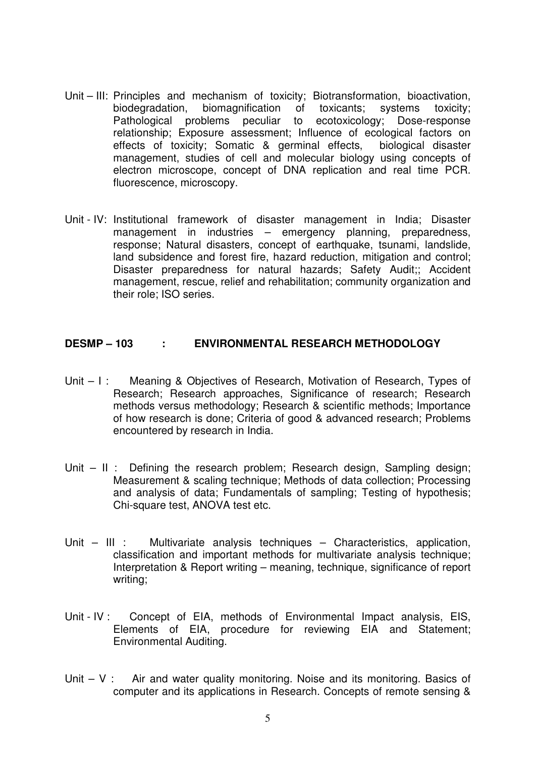- Unit III: Principles and mechanism of toxicity; Biotransformation, bioactivation, biodegradation, biomagnification of toxicants; systems toxicity; Pathological problems peculiar to ecotoxicology; Dose-response relationship; Exposure assessment; Influence of ecological factors on effects of toxicity; Somatic & germinal effects, biological disaster management, studies of cell and molecular biology using concepts of electron microscope, concept of DNA replication and real time PCR. fluorescence, microscopy.
- Unit IV: Institutional framework of disaster management in India; Disaster management in industries – emergency planning, preparedness, response; Natural disasters, concept of earthquake, tsunami, landslide, land subsidence and forest fire, hazard reduction, mitigation and control; Disaster preparedness for natural hazards; Safety Audit;; Accident management, rescue, relief and rehabilitation; community organization and their role; ISO series.

### **DESMP – 103 : ENVIRONMENTAL RESEARCH METHODOLOGY**

- Unit I: Meaning & Objectives of Research, Motivation of Research, Types of Research; Research approaches, Significance of research; Research methods versus methodology; Research & scientific methods; Importance of how research is done; Criteria of good & advanced research; Problems encountered by research in India.
- Unit II : Defining the research problem; Research design, Sampling design; Measurement & scaling technique; Methods of data collection; Processing and analysis of data; Fundamentals of sampling; Testing of hypothesis; Chi-square test, ANOVA test etc.
- Unit III : Multivariate analysis techniques Characteristics, application, classification and important methods for multivariate analysis technique; Interpretation & Report writing – meaning, technique, significance of report writing;
- Unit IV : Concept of EIA, methods of Environmental Impact analysis, EIS, Elements of EIA, procedure for reviewing EIA and Statement; Environmental Auditing.
- Unit  $V$  : Air and water quality monitoring. Noise and its monitoring. Basics of computer and its applications in Research. Concepts of remote sensing &